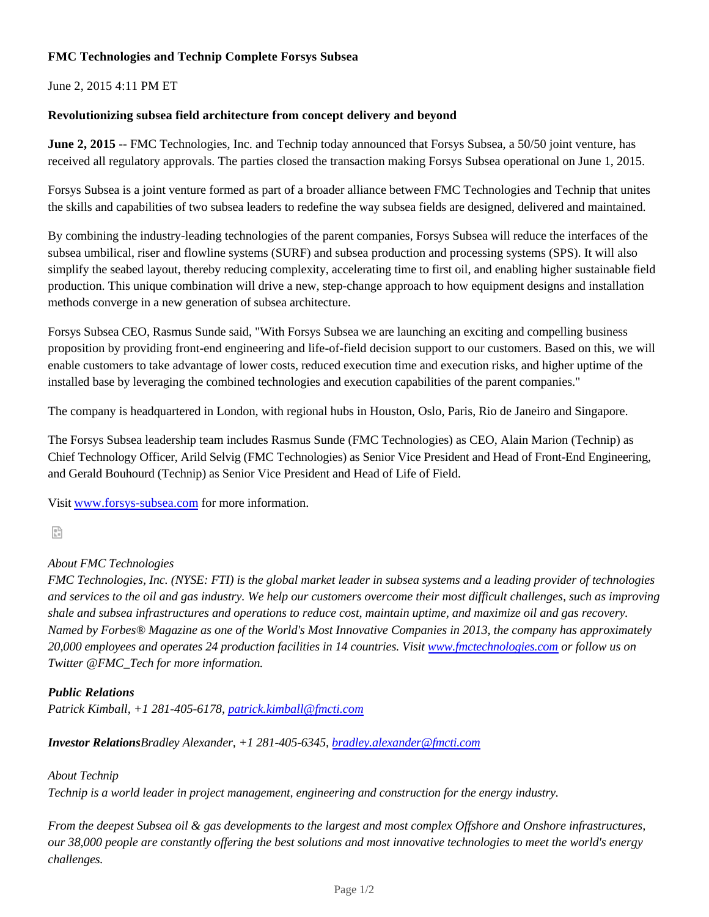## **FMC Technologies and Technip Complete Forsys Subsea**

June 2, 2015 4:11 PM ET

## **Revolutionizing subsea field architecture from concept delivery and beyond**

**June 2, 2015** -- FMC Technologies, Inc. and Technip today announced that Forsys Subsea, a 50/50 joint venture, has received all regulatory approvals. The parties closed the transaction making Forsys Subsea operational on June 1, 2015.

Forsys Subsea is a joint venture formed as part of a broader alliance between FMC Technologies and Technip that unites the skills and capabilities of two subsea leaders to redefine the way subsea fields are designed, delivered and maintained.

By combining the industry-leading technologies of the parent companies, Forsys Subsea will reduce the interfaces of the subsea umbilical, riser and flowline systems (SURF) and subsea production and processing systems (SPS). It will also simplify the seabed layout, thereby reducing complexity, accelerating time to first oil, and enabling higher sustainable field production. This unique combination will drive a new, step-change approach to how equipment designs and installation methods converge in a new generation of subsea architecture.

Forsys Subsea CEO, Rasmus Sunde said, "With Forsys Subsea we are launching an exciting and compelling business proposition by providing front-end engineering and life-of-field decision support to our customers. Based on this, we will enable customers to take advantage of lower costs, reduced execution time and execution risks, and higher uptime of the installed base by leveraging the combined technologies and execution capabilities of the parent companies."

The company is headquartered in London, with regional hubs in Houston, Oslo, Paris, Rio de Janeiro and Singapore.

The Forsys Subsea leadership team includes Rasmus Sunde (FMC Technologies) as CEO, Alain Marion (Technip) as Chief Technology Officer, Arild Selvig (FMC Technologies) as Senior Vice President and Head of Front-End Engineering, and Gerald Bouhourd (Technip) as Senior Vice President and Head of Life of Field.

Visit www.forsys-subsea.com for more information.

읔

# *About FMC Technologies*

*FMC Technologies, Inc. (NYSE: FTI) is the global market leader in subsea systems and a leading provider of technologies and services to the oil and gas industry. We help our customers overcome their most difficult challenges, such as improving shale and subsea infrastructures and operations to reduce cost, maintain uptime, and maximize oil and gas recovery. Named by Forbes® Magazine as one of the World's Most Innovative Companies in 2013, the company has approximately 20,000 employees and operates 24 production facilities in 14 countries. Visit www.fmctechnologies.com or follow us on Twitter @FMC\_Tech for more information.*

## *Public Relations*

*Patrick Kimball, +1 281-405-6178, patrick.kimball@fmcti.com*

*Investor RelationsBradley Alexander, +1 281-405-6345, bradley.alexander@fmcti.com*

#### *About Technip*

*Technip is a world leader in project management, engineering and construction for the energy industry.*

*From the deepest Subsea oil & gas developments to the largest and most complex Offshore and Onshore infrastructures, our 38,000 people are constantly offering the best solutions and most innovative technologies to meet the world's energy challenges.*